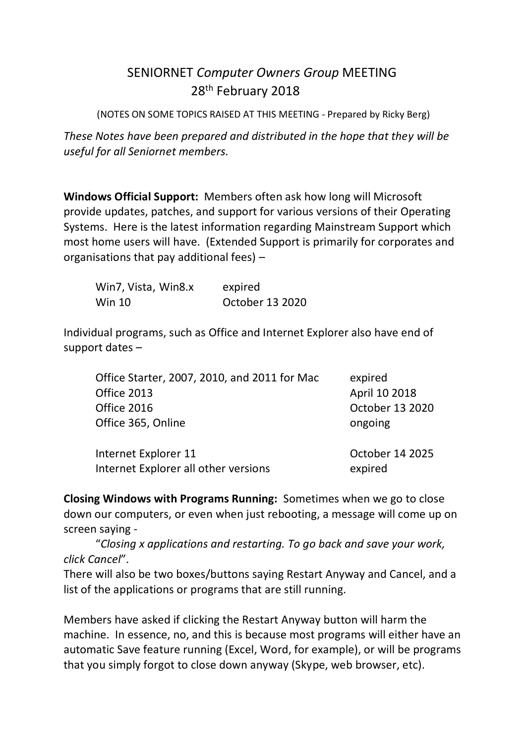## SENIORNET *Computer Owners Group* MEETING 28<sup>th</sup> February 2018

(NOTES ON SOME TOPICS RAISED AT THIS MEETING - Prepared by Ricky Berg)

*These Notes have been prepared and distributed in the hope that they will be useful for all Seniornet members.*

**Windows Official Support:** Members often ask how long will Microsoft provide updates, patches, and support for various versions of their Operating Systems. Here is the latest information regarding Mainstream Support which most home users will have. (Extended Support is primarily for corporates and organisations that pay additional fees) –

| Win7, Vista, Win8.x | expired         |
|---------------------|-----------------|
| <b>Win 10</b>       | October 13 2020 |

Individual programs, such as Office and Internet Explorer also have end of support dates –

| Office Starter, 2007, 2010, and 2011 for Mac | expired         |
|----------------------------------------------|-----------------|
| Office 2013                                  | April 10 2018   |
| Office 2016                                  | October 13 2020 |
| Office 365, Online                           | ongoing         |
| Internet Explorer 11                         | October 14 2025 |

**Closing Windows with Programs Running:** Sometimes when we go to close down our computers, or even when just rebooting, a message will come up on screen saying -

Internet Explorer all other versions expired

"*Closing x applications and restarting. To go back and save your work, click Cancel*".

There will also be two boxes/buttons saying Restart Anyway and Cancel, and a list of the applications or programs that are still running.

Members have asked if clicking the Restart Anyway button will harm the machine. In essence, no, and this is because most programs will either have an automatic Save feature running (Excel, Word, for example), or will be programs that you simply forgot to close down anyway (Skype, web browser, etc).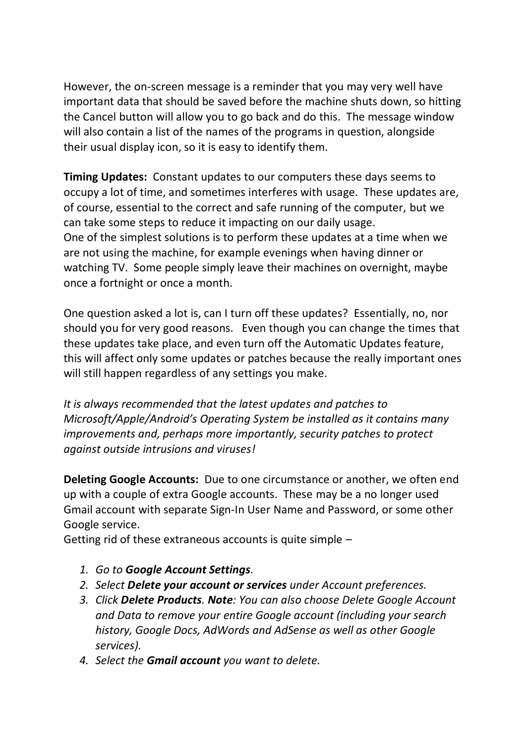However, the on-screen message is a reminder that you may very well have important data that should be saved before the machine shuts down, so hitting the Cancel button will allow you to go back and do this. The message window will also contain a list of the names of the programs in question, alongside their usual display icon, so it is easy to identify them.

**Timing Updates:** Constant updates to our computers these days seems to occupy a lot of time, and sometimes interferes with usage. These updates are, of course, essential to the correct and safe running of the computer, but we can take some steps to reduce it impacting on our daily usage. One of the simplest solutions is to perform these updates at a time when we are not using the machine, for example evenings when having dinner or watching TV. Some people simply leave their machines on overnight, maybe once a fortnight or once a month.

One question asked a lot is, can I turn off these updates? Essentially, no, nor should you for very good reasons. Even though you can change the times that these updates take place, and even turn off the Automatic Updates feature, this will affect only some updates or patches because the really important ones will still happen regardless of any settings you make.

*It is always recommended that the latest updates and patches to Microsoft/Apple/Android's Operating System be installed as it contains many improvements and, perhaps more importantly, security patches to protect against outside intrusions and viruses!*

**Deleting Google Accounts:** Due to one circumstance or another, we often end up with a couple of extra Google accounts. These may be a no longer used Gmail account with separate Sign-In User Name and Password, or some other Google service.

Getting rid of these extraneous accounts is quite simple –

- *1. Go to Google Account Settings.*
- *2. Select Delete your account or services under Account preferences.*
- *3. Click Delete Products. Note: You can also choose Delete Google Account and Data to remove your entire Google account (including your search history, Google Docs, AdWords and AdSense as well as other Google services).*
- *4. Select the Gmail account you want to delete.*